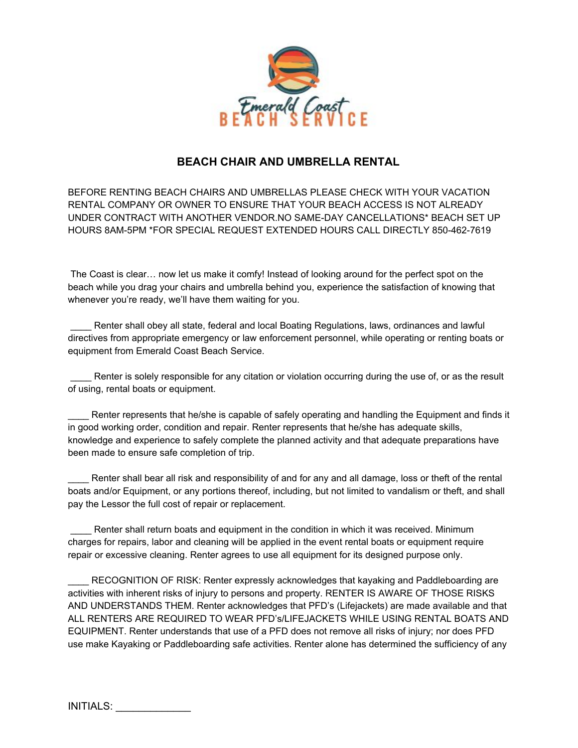

## **BEACH CHAIR AND UMBRELLA RENTAL**

BEFORE RENTING BEACH CHAIRS AND UMBRELLAS PLEASE CHECK WITH YOUR VACATION RENTAL COMPANY OR OWNER TO ENSURE THAT YOUR BEACH ACCESS IS NOT ALREADY UNDER CONTRACT WITH ANOTHER VENDOR.NO SAME-DAY CANCELLATIONS\* BEACH SET UP HOURS 8AM-5PM \*FOR SPECIAL REQUEST EXTENDED HOURS CALL DIRECTLY 850-462-7619

The Coast is clear… now let us make it comfy! Instead of looking around for the perfect spot on the beach while you drag your chairs and umbrella behind you, experience the satisfaction of knowing that whenever you're ready, we'll have them waiting for you.

Renter shall obey all state, federal and local Boating Regulations, laws, ordinances and lawful directives from appropriate emergency or law enforcement personnel, while operating or renting boats or equipment from Emerald Coast Beach Service.

Renter is solely responsible for any citation or violation occurring during the use of, or as the result of using, rental boats or equipment.

Renter represents that he/she is capable of safely operating and handling the Equipment and finds it in good working order, condition and repair. Renter represents that he/she has adequate skills, knowledge and experience to safely complete the planned activity and that adequate preparations have been made to ensure safe completion of trip.

Renter shall bear all risk and responsibility of and for any and all damage, loss or theft of the rental boats and/or Equipment, or any portions thereof, including, but not limited to vandalism or theft, and shall pay the Lessor the full cost of repair or replacement.

Renter shall return boats and equipment in the condition in which it was received. Minimum charges for repairs, labor and cleaning will be applied in the event rental boats or equipment require repair or excessive cleaning. Renter agrees to use all equipment for its designed purpose only.

RECOGNITION OF RISK: Renter expressly acknowledges that kayaking and Paddleboarding are activities with inherent risks of injury to persons and property. RENTER IS AWARE OF THOSE RISKS AND UNDERSTANDS THEM. Renter acknowledges that PFD's (Lifejackets) are made available and that ALL RENTERS ARE REQUIRED TO WEAR PFD's/LIFEJACKETS WHILE USING RENTAL BOATS AND EQUIPMENT. Renter understands that use of a PFD does not remove all risks of injury; nor does PFD use make Kayaking or Paddleboarding safe activities. Renter alone has determined the sufficiency of any

INITIALS: \_\_\_\_\_\_\_\_\_\_\_\_\_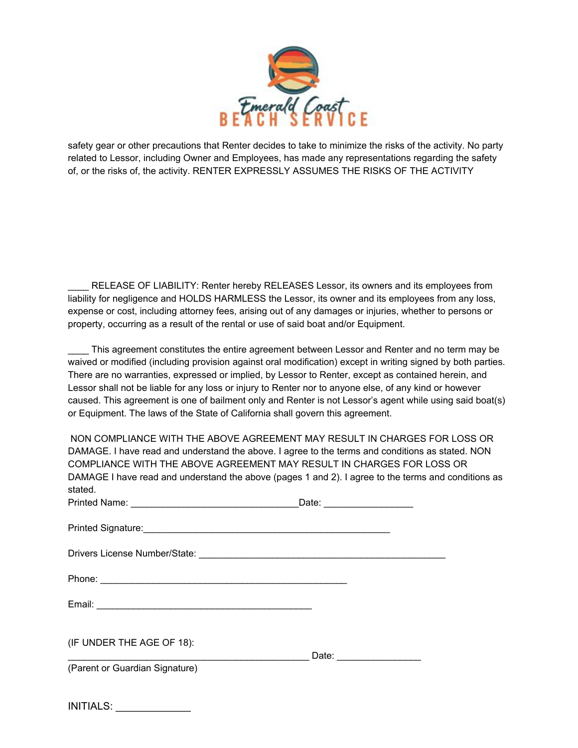

safety gear or other precautions that Renter decides to take to minimize the risks of the activity. No party related to Lessor, including Owner and Employees, has made any representations regarding the safety of, or the risks of, the activity. RENTER EXPRESSLY ASSUMES THE RISKS OF THE ACTIVITY

RELEASE OF LIABILITY: Renter hereby RELEASES Lessor, its owners and its employees from liability for negligence and HOLDS HARMLESS the Lessor, its owner and its employees from any loss, expense or cost, including attorney fees, arising out of any damages or injuries, whether to persons or property, occurring as a result of the rental or use of said boat and/or Equipment.

\_\_\_\_ This agreement constitutes the entire agreement between Lessor and Renter and no term may be waived or modified (including provision against oral modification) except in writing signed by both parties. There are no warranties, expressed or implied, by Lessor to Renter, except as contained herein, and Lessor shall not be liable for any loss or injury to Renter nor to anyone else, of any kind or however caused. This agreement is one of bailment only and Renter is not Lessor's agent while using said boat(s) or Equipment. The laws of the State of California shall govern this agreement.

NON COMPLIANCE WITH THE ABOVE AGREEMENT MAY RESULT IN CHARGES FOR LOSS OR DAMAGE. I have read and understand the above. I agree to the terms and conditions as stated. NON COMPLIANCE WITH THE ABOVE AGREEMENT MAY RESULT IN CHARGES FOR LOSS OR DAMAGE I have read and understand the above (pages 1 and 2). I agree to the terms and conditions as stated.

|                                                         | Date: ____________________        |
|---------------------------------------------------------|-----------------------------------|
| Printed Signature: 2008 Communication of the Signature: |                                   |
|                                                         |                                   |
|                                                         |                                   |
|                                                         |                                   |
| (IF UNDER THE AGE OF 18):                               | Date: <u>____________________</u> |
| (Parent or Guardian Signature)                          |                                   |
|                                                         |                                   |

INITIALS: \_\_\_\_\_\_\_\_\_\_\_\_\_